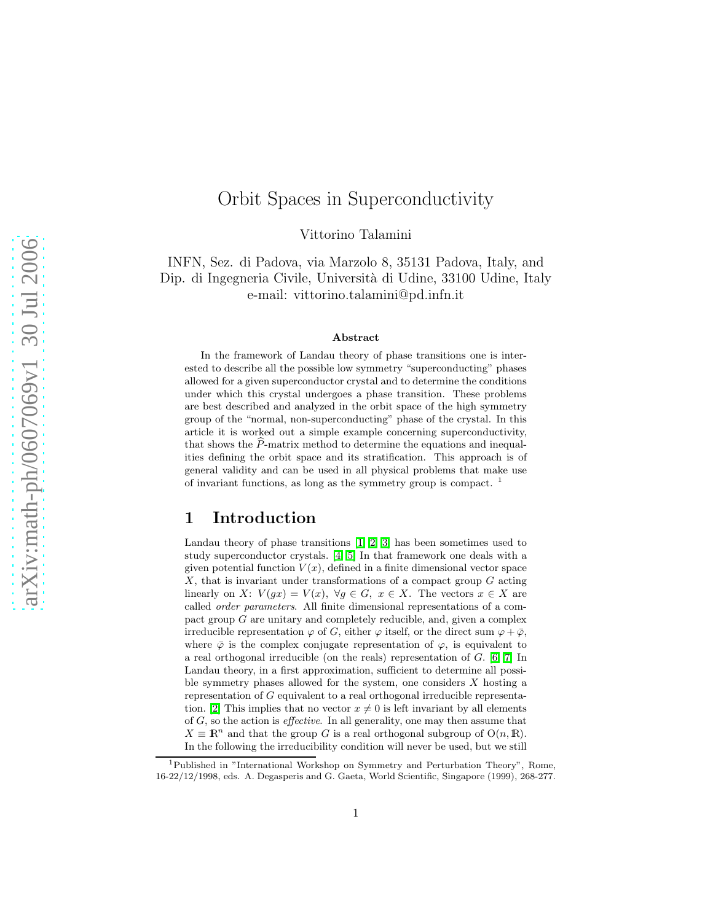# Orbit Spaces in Superconductivity

Vittorino Talamini

INFN, Sez. di Padova, via Marzolo 8, 35131 Padova, Italy, and Dip. di Ingegneria Civile, Università di Udine, 33100 Udine, Italy e-mail: vittorino.talamini@pd.infn.it

#### Abstract

In the framework of Landau theory of phase transitions one is interested to describe all the possible low symmetry "superconducting" phases allowed for a given superconductor crystal and to determine the conditions under which this crystal undergoes a phase transition. These problems are best described and analyzed in the orbit space of the high symmetry group of the "normal, non-superconducting" phase of the crystal. In this article it is worked out a simple example concerning superconductivity, that shows the  $P$ -matrix method to determine the equations and inequalities defining the orbit space and its stratification. This approach is of general validity and can be used in all physical problems that make use of invariant functions, as long as the symmetry group is compact. <sup>1</sup>

### 1 Introduction

Landau theory of phase transitions [\[1,](#page-8-0) [2,](#page-8-1) [3\]](#page-8-2) has been sometimes used to study superconductor crystals. [\[4,](#page-8-3) [5\]](#page-8-4) In that framework one deals with a given potential function  $V(x)$ , defined in a finite dimensional vector space  $X$ , that is invariant under transformations of a compact group  $G$  acting linearly on X:  $V(gx) = V(x)$ ,  $\forall g \in G$ ,  $x \in X$ . The vectors  $x \in X$  are called order parameters. All finite dimensional representations of a compact group G are unitary and completely reducible, and, given a complex irreducible representation  $\varphi$  of G, either  $\varphi$  itself, or the direct sum  $\varphi + \bar{\varphi}$ , where  $\overline{\varphi}$  is the complex conjugate representation of  $\varphi$ , is equivalent to a real orthogonal irreducible (on the reals) representation of G. [\[6,](#page-8-5) [7\]](#page-8-6) In Landau theory, in a first approximation, sufficient to determine all possible symmetry phases allowed for the system, one considers  $X$  hosting a representation of G equivalent to a real orthogonal irreducible representa-tion. [\[2\]](#page-8-1) This implies that no vector  $x \neq 0$  is left invariant by all elements of  $G$ , so the action is *effective*. In all generality, one may then assume that  $X \equiv \mathbb{R}^n$  and that the group G is a real orthogonal subgroup of  $O(n, \mathbb{R})$ . In the following the irreducibility condition will never be used, but we still

<sup>1</sup>Published in "International Workshop on Symmetry and Perturbation Theory", Rome, 16-22/12/1998, eds. A. Degasperis and G. Gaeta, World Scientific, Singapore (1999), 268-277.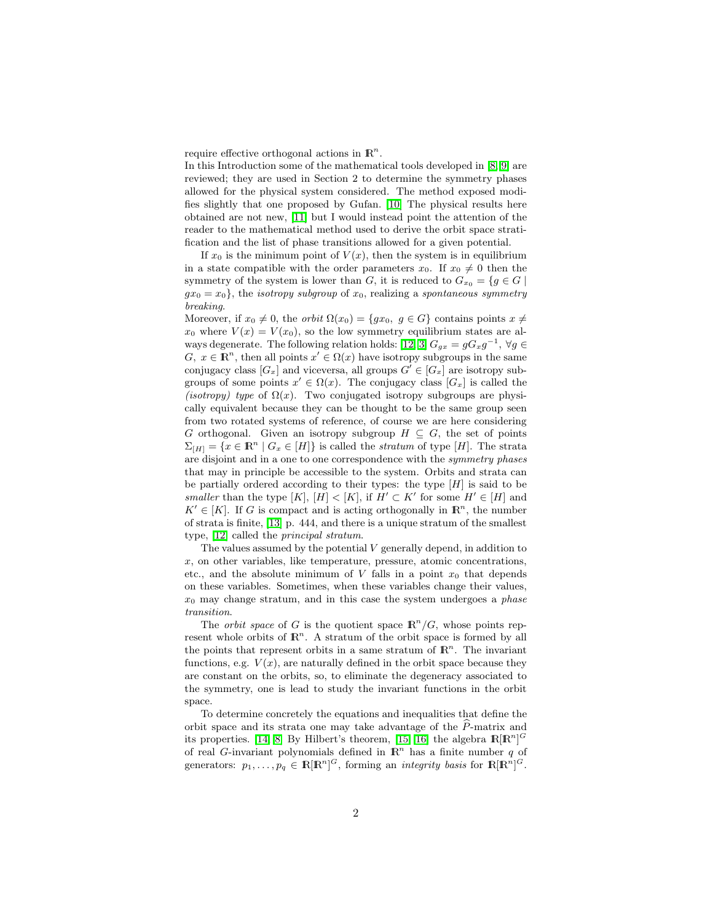require effective orthogonal actions in  $\mathbb{R}^n$ .

In this Introduction some of the mathematical tools developed in [\[8,](#page-8-7) [9\]](#page-8-8) are reviewed; they are used in Section 2 to determine the symmetry phases allowed for the physical system considered. The method exposed modifies slightly that one proposed by Gufan. [\[10\]](#page-8-9) The physical results here obtained are not new, [\[11\]](#page-8-10) but I would instead point the attention of the reader to the mathematical method used to derive the orbit space stratification and the list of phase transitions allowed for a given potential.

If  $x_0$  is the minimum point of  $V(x)$ , then the system is in equilibrium in a state compatible with the order parameters  $x_0$ . If  $x_0 \neq 0$  then the symmetry of the system is lower than G, it is reduced to  $G_{x_0} = \{g \in G \mid$  $gx_0 = x_0$ , the *isotropy subgroup* of  $x_0$ , realizing a *spontaneous symmetry* breaking.

Moreover, if  $x_0 \neq 0$ , the *orbit*  $\Omega(x_0) = \{gx_0, g \in G\}$  contains points  $x \neq 0$  $x_0$  where  $V(x) = V(x_0)$ , so the low symmetry equilibrium states are al-ways degenerate. The following relation holds: [\[12,](#page-8-11) [3\]](#page-8-2)  $G_{gx} = gG_xg^{-1}$ ,  $\forall g \in$  $G, x \in \mathbb{R}^n$ , then all points  $x' \in \Omega(x)$  have isotropy subgroups in the same conjugacy class  $[G_x]$  and viceversa, all groups  $G' \in [G_x]$  are isotropy subgroups of some points  $x' \in \Omega(x)$ . The conjugacy class  $[G_x]$  is called the (isotropy) type of  $\Omega(x)$ . Two conjugated isotropy subgroups are physically equivalent because they can be thought to be the same group seen from two rotated systems of reference, of course we are here considering G orthogonal. Given an isotropy subgroup  $H \subseteq G$ , the set of points  $\Sigma_{[H]} = \{x \in \mathbb{R}^n \mid G_x \in [H]\}$  is called the *stratum* of type [H]. The strata are disjoint and in a one to one correspondence with the symmetry phases that may in principle be accessible to the system. Orbits and strata can be partially ordered according to their types: the type  $[H]$  is said to be smaller than the type  $[K], [H] < [K],$  if  $H' \subset K'$  for some  $H' \in [H]$  and  $K' \in [K]$ . If G is compact and is acting orthogonally in  $\mathbb{R}^n$ , the number of strata is finite, [\[13\]](#page-8-12) p. 444, and there is a unique stratum of the smallest type, [\[12\]](#page-8-11) called the principal stratum.

The values assumed by the potential  $V$  generally depend, in addition to  $x$ , on other variables, like temperature, pressure, atomic concentrations, etc., and the absolute minimum of  $V$  falls in a point  $x_0$  that depends on these variables. Sometimes, when these variables change their values,  $x_0$  may change stratum, and in this case the system undergoes a *phase* transition.

The *orbit space* of G is the quotient space  $\mathbb{R}^n/G$ , whose points represent whole orbits of  $\mathbb{R}^n$ . A stratum of the orbit space is formed by all the points that represent orbits in a same stratum of  $\mathbb{R}^n$ . The invariant functions, e.g.  $V(x)$ , are naturally defined in the orbit space because they are constant on the orbits, so, to eliminate the degeneracy associated to the symmetry, one is lead to study the invariant functions in the orbit space.

To determine concretely the equations and inequalities that define the orbit space and its strata one may take advantage of the  $P$ -matrix and its properties. [\[14,](#page-8-13) [8\]](#page-8-7) By Hilbert's theorem, [\[15,](#page-8-14) [16\]](#page-8-15) the algebra  $\mathbb{R}[\mathbb{R}^n]^G$ of real G-invariant polynomials defined in  $\mathbb{R}^n$  has a finite number q of generators:  $p_1, \ldots, p_q \in \mathbb{R}[\mathbb{R}^n]^G$ , forming an *integrity basis* for  $\mathbb{R}[\mathbb{R}^n]^G$ .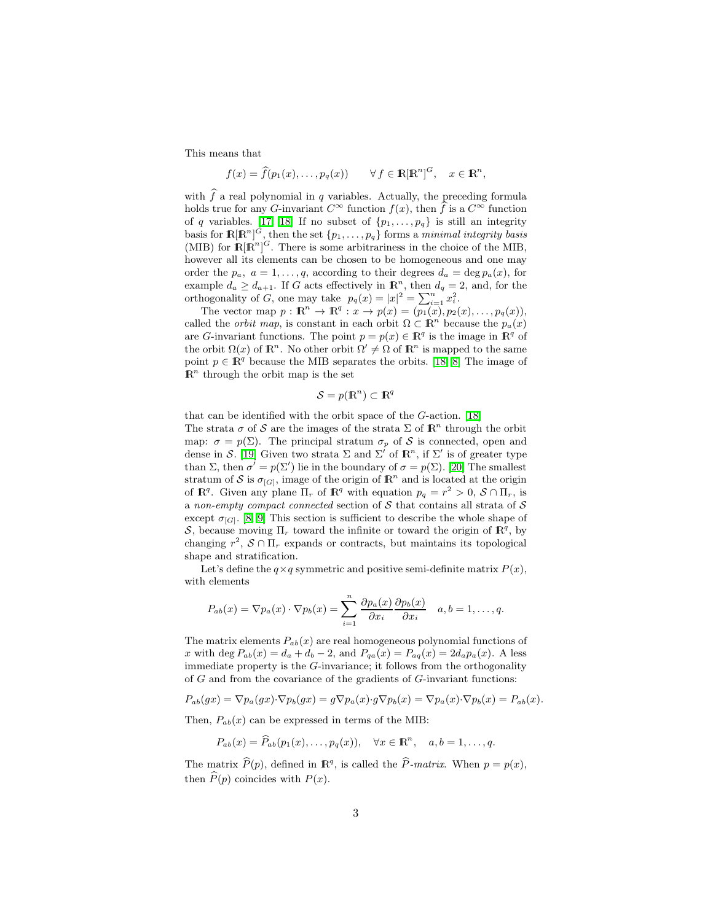This means that

$$
f(x) = \widehat{f}(p_1(x), \dots, p_q(x)) \qquad \forall f \in \mathbb{R}[\mathbb{R}^n]^G, \quad x \in \mathbb{R}^n,
$$

with  $\hat{f}$  a real polynomial in q variables. Actually, the preceding formula holds true for any G-invariant  $C^{\infty}$  function  $f(x)$ , then f is a  $C^{\infty}$  function of q variables. [\[17,](#page-8-16) [18\]](#page-8-17) If no subset of  $\{p_1, \ldots, p_q\}$  is still an integrity basis for  $\mathbb{R}[\mathbb{R}^n]^G$ , then the set  $\{p_1,\ldots,p_q\}$  forms a *minimal integrity basis* (MIB) for  $\mathbb{R}[\mathbb{R}^n]^G$ . There is some arbitrariness in the choice of the MIB, however all its elements can be chosen to be homogeneous and one may order the  $p_a$ ,  $a = 1, \ldots, q$ , according to their degrees  $d_a = \deg p_a(x)$ , for example  $d_a \geq d_{a+1}$ . If G acts effectively in  $\mathbb{R}^n$ , then  $d_q = 2$ , and, for the orthogonality of G, one may take  $p_q(x) = |x|^2 = \sum_{i=1}^n x_i^2$ .

The vector map  $p: \mathbb{R}^n \to \mathbb{R}^q : x \to p(x) = (p_1(x), p_2(x), \ldots, p_q(x)),$ called the *orbit map*, is constant in each orbit  $\Omega \subset \mathbb{R}^n$  because the  $p_a(x)$ are G-invariant functions. The point  $p = p(x) \in \mathbb{R}^q$  is the image in  $\mathbb{R}^q$  of the orbit  $\Omega(x)$  of  $\mathbb{R}^n$ . No other orbit  $\Omega' \neq \Omega$  of  $\mathbb{R}^n$  is mapped to the same point  $p \in \mathbb{R}^q$  because the MIB separates the orbits. [\[18,](#page-8-17) [8\]](#page-8-7) The image of  $\mathbb{R}^n$  through the orbit map is the set

$$
\mathcal{S} = p(\mathbf{R}^n) \subset \mathbf{R}^q
$$

that can be identified with the orbit space of the G-action. [\[18\]](#page-8-17)

The strata  $\sigma$  of  $S$  are the images of the strata  $\Sigma$  of  $\mathbb{R}^n$  through the orbit map:  $\sigma = p(\Sigma)$ . The principal stratum  $\sigma_p$  of S is connected, open and dense in S. [\[19\]](#page-8-18) Given two strata  $\Sigma$  and  $\Sigma'$  of  $\mathbb{R}^n$ , if  $\Sigma'$  is of greater type than  $\Sigma$ , then  $\sigma' = p(\Sigma')$  lie in the boundary of  $\sigma = p(\Sigma)$ . [\[20\]](#page-8-19) The smallest stratum of S is  $\sigma_{[G]}$ , image of the origin of  $\mathbb{R}^n$  and is located at the origin of  $\mathbb{R}^q$ . Given any plane  $\Pi_r$  of  $\mathbb{R}^q$  with equation  $p_q = r^2 > 0$ ,  $S \cap \Pi_r$ , is a non-empty compact connected section of  $S$  that contains all strata of  $S$ except  $\sigma_{[G]}$ . [\[8,](#page-8-7) [9\]](#page-8-8) This section is sufficient to describe the whole shape of S, because moving  $\Pi_r$  toward the infinite or toward the origin of  $\mathbb{R}^q$ , by changing  $r^2$ ,  $S \cap \Pi_r$  expands or contracts, but maintains its topological shape and stratification.

Let's define the  $q \times q$  symmetric and positive semi-definite matrix  $P(x)$ , with elements

$$
P_{ab}(x) = \nabla p_a(x) \cdot \nabla p_b(x) = \sum_{i=1}^n \frac{\partial p_a(x)}{\partial x_i} \frac{\partial p_b(x)}{\partial x_i} \quad a, b = 1, \dots, q.
$$

The matrix elements  $P_{ab}(x)$  are real homogeneous polynomial functions of x with deg  $P_{ab}(x) = d_a + d_b - 2$ , and  $P_{qa}(x) = P_{aq}(x) = 2d_a p_a(x)$ . A less immediate property is the G-invariance; it follows from the orthogonality of  $G$  and from the covariance of the gradients of  $G$ -invariant functions:

$$
P_{ab}(gx) = \nabla p_a(gx) \cdot \nabla p_b(gx) = g \nabla p_a(x) \cdot g \nabla p_b(x) = \nabla p_a(x) \cdot \nabla p_b(x) = P_{ab}(x).
$$

Then,  $P_{ab}(x)$  can be expressed in terms of the MIB:

$$
P_{ab}(x) = \widehat{P}_{ab}(p_1(x), \ldots, p_q(x)), \quad \forall x \in \mathbb{R}^n, \quad a, b = 1, \ldots, q.
$$

The matrix  $\widehat{P}(p)$ , defined in  $\mathbb{R}^q$ , is called the  $\widehat{P}$ -matrix. When  $p = p(x)$ , then  $\widehat{P}(p)$  coincides with  $P(x)$ .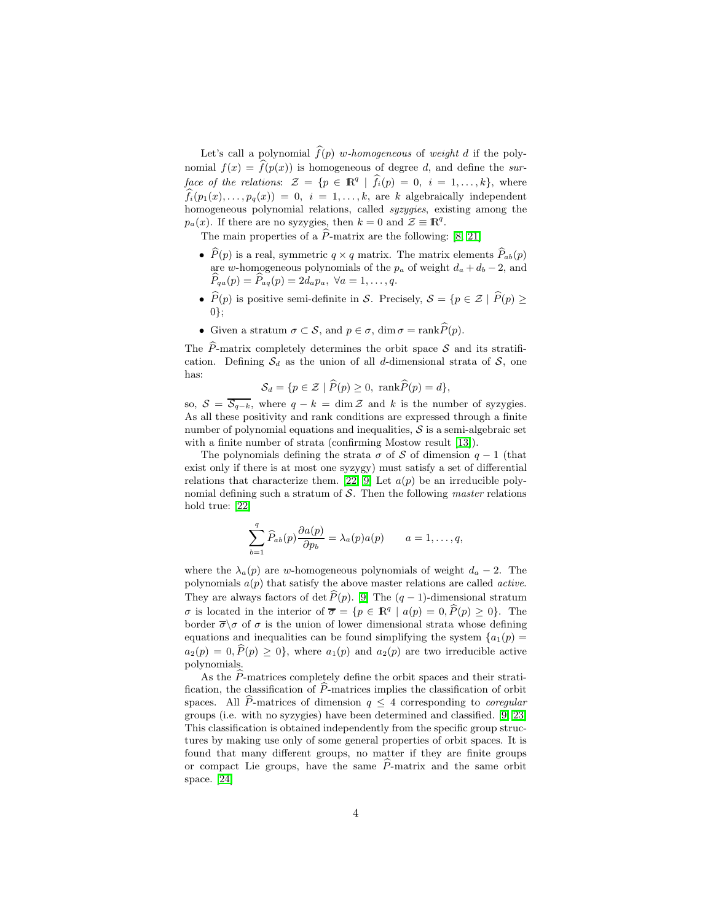Let's call a polynomial  $\widehat{f}(p)$  w-homogeneous of weight d if the polynomial  $f(x) = \hat{f}(p(x))$  is homogeneous of degree d, and define the surface of the relations:  $\mathcal{Z} = \{p \in \mathbb{R}^q \mid \hat{f}_i(p) = 0, i = 1, \ldots, k\},\$  where  $\widehat{f}_i(p_1(x), \ldots, p_q(x)) = 0$ ,  $i = 1, \ldots, k$ , are k algebraically independent homogeneous polynomial relations, called syzygies, existing among the  $p_a(x)$ . If there are no syzygies, then  $k = 0$  and  $\mathcal{Z} \equiv \mathbb{R}^q$ .

The main properties of a  $\widehat{P}$ -matrix are the following: [\[8,](#page-8-7) [21\]](#page-8-20)

- $\hat{P}(p)$  is a real, symmetric  $q \times q$  matrix. The matrix elements  $\hat{P}_{ab}(p)$ are w-homogeneous polynomials of the  $p_a$  of weight  $d_a + d_b - 2$ , and  $\widehat{P}_{qa}(p) = \widehat{P}_{aq}(p) = 2d_a p_a, \ \forall a = 1, \ldots, q.$
- $\widehat{P}(p)$  is positive semi-definite in S. Precisely,  $S = \{p \in \mathcal{Z} \mid \widehat{P}(p) \geq$ 0};
- Given a stratum  $\sigma \subset \mathcal{S}$ , and  $p \in \sigma$ , dim  $\sigma = \text{rank}\widehat{P}(p)$ .

The  $\hat{P}$ -matrix completely determines the orbit space  $\hat{S}$  and its stratification. Defining  $S_d$  as the union of all d-dimensional strata of S, one has:

$$
S_d = \{ p \in \mathcal{Z} \mid \widehat{P}(p) \ge 0, \ \text{rank}\widehat{P}(p) = d \},
$$

so,  $S = \overline{S_{q-k}}$ , where  $q - k = \dim \mathcal{Z}$  and k is the number of syzygies. As all these positivity and rank conditions are expressed through a finite number of polynomial equations and inequalities,  $S$  is a semi-algebraic set with a finite number of strata (confirming Mostow result [\[13\]](#page-8-12)).

The polynomials defining the strata  $\sigma$  of S of dimension  $q-1$  (that exist only if there is at most one syzygy) must satisfy a set of differential relations that characterize them. [\[22,](#page-8-21) [9\]](#page-8-8) Let  $a(p)$  be an irreducible polynomial defining such a stratum of  $S$ . Then the following *master* relations hold true: [\[22\]](#page-8-21)

$$
\sum_{b=1}^{q} \widehat{P}_{ab}(p) \frac{\partial a(p)}{\partial p_b} = \lambda_a(p) a(p) \qquad a = 1, \dots, q,
$$

where the  $\lambda_a(p)$  are w-homogeneous polynomials of weight  $d_a - 2$ . The polynomials  $a(p)$  that satisfy the above master relations are called *active*. They are always factors of det  $\widehat{P}(p)$ . [\[9\]](#page-8-8) The  $(q - 1)$ -dimensional stratum  $\sigma$  is located in the interior of  $\overline{\sigma} = \{p \in \mathbb{R}^q \mid a(p) = 0, \widehat{P}(p) \ge 0\}$ . The border  $\overline{\sigma}\setminus\sigma$  of  $\sigma$  is the union of lower dimensional strata whose defining equations and inequalities can be found simplifying the system  ${a_1(p) = a_2(q)$  $a_2(p) = 0, \hat{P}(p) \geq 0$ , where  $a_1(p)$  and  $a_2(p)$  are two irreducible active polynomials.

As the  $\tilde{P}$ -matrices completely define the orbit spaces and their stratification, the classification of  $P$ -matrices implies the classification of orbit spaces. All P-matrices of dimension  $q \leq 4$  corresponding to *coregular* groups (i.e. with no syzygies) have been determined and classified. [\[9,](#page-8-8) [23\]](#page-8-22) This classification is obtained independently from the specific group structures by making use only of some general properties of orbit spaces. It is found that many different groups, no matter if they are finite groups or compact Lie groups, have the same  $\hat{P}$ -matrix and the same orbit space. [\[24\]](#page-8-23)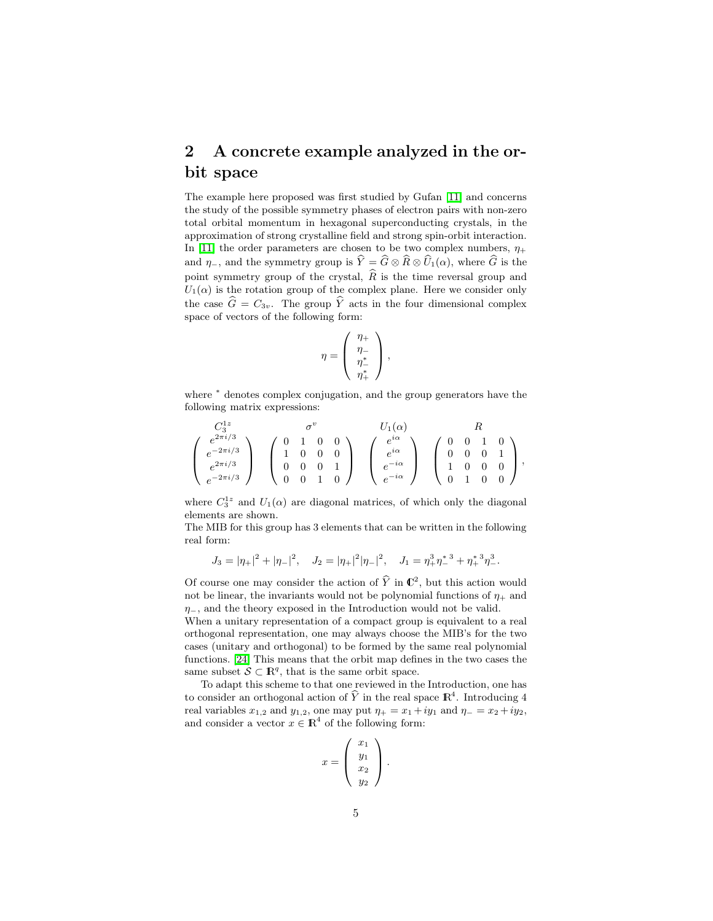## 2 A concrete example analyzed in the orbit space

The example here proposed was first studied by Gufan [\[11\]](#page-8-10) and concerns the study of the possible symmetry phases of electron pairs with non-zero total orbital momentum in hexagonal superconducting crystals, in the approximation of strong crystalline field and strong spin-orbit interaction. In [\[11\]](#page-8-10) the order parameters are chosen to be two complex numbers,  $\eta_+$ and  $\eta$ -, and the symmetry group is  $\hat{Y} = \hat{G} \otimes \hat{R} \otimes \hat{U}_1(\alpha)$ , where  $\hat{G}$  is the point symmetry group of the crystal,  $\widehat{R}$  is the time reversal group and  $U_1(\alpha)$  is the rotation group of the complex plane. Here we consider only the case  $\hat{G} = C_{3v}$ . The group  $\hat{Y}$  acts in the four dimensional complex space of vectors of the following form:

$$
\eta = \left(\begin{array}{c} \eta_+ \\ \eta_- \\ \eta_+^* \\ \eta_+^* \end{array}\right),
$$

where <sup>∗</sup> denotes complex conjugation, and the group generators have the following matrix expressions:

$$
\begin{pmatrix}\nC_3^{1z} & \sigma^v & U_1(\alpha) & R \\
e^{2\pi i/3} & e^{-2\pi i/3} & 1 & 0 & 0 \\
e^{2\pi i/3} & e^{-2\pi i/3} & 0 & 0 & 1 \\
0 & 0 & 0 & 1 & 0\n\end{pmatrix}\n\begin{pmatrix}\ne^{i\alpha} \\
e^{i\alpha} \\
e^{-i\alpha} \\
e^{-i\alpha}\n\end{pmatrix}\n\begin{pmatrix}\n0 & 0 & 1 & 0 \\
0 & 0 & 0 & 1 \\
1 & 0 & 0 & 0 \\
0 & 1 & 0 & 0\n\end{pmatrix},
$$

where  $C_3^{1z}$  and  $U_1(\alpha)$  are diagonal matrices, of which only the diagonal elements are shown.

The MIB for this group has 3 elements that can be written in the following real form:

$$
J_3 = |\eta_+|^2 + |\eta_-|^2, \quad J_2 = |\eta_+|^2 |\eta_-|^2, \quad J_1 = \eta_+^3 \eta_-^*^3 + \eta_+^* \eta_-^3.
$$

Of course one may consider the action of  $\hat{Y}$  in  $\mathbb{C}^2$ , but this action would not be linear, the invariants would not be polynomial functions of  $\eta_+$  and  $\eta$ <sub>−</sub>, and the theory exposed in the Introduction would not be valid.

When a unitary representation of a compact group is equivalent to a real orthogonal representation, one may always choose the MIB's for the two cases (unitary and orthogonal) to be formed by the same real polynomial functions. [\[24\]](#page-8-23) This means that the orbit map defines in the two cases the same subset  $S \subset \mathbb{R}^q$ , that is the same orbit space.

To adapt this scheme to that one reviewed in the Introduction, one has to consider an orthogonal action of  $\hat{Y}$  in the real space  $\mathbb{R}^4$ . Introducing 4 real variables  $x_{1,2}$  and  $y_{1,2}$ , one may put  $\eta_+ = x_1 + iy_1$  and  $\eta_- = x_2 + iy_2$ , and consider a vector  $x \in \mathbb{R}^4$  of the following form:

$$
x = \left(\begin{array}{c} x_1 \\ y_1 \\ x_2 \\ y_2 \end{array}\right).
$$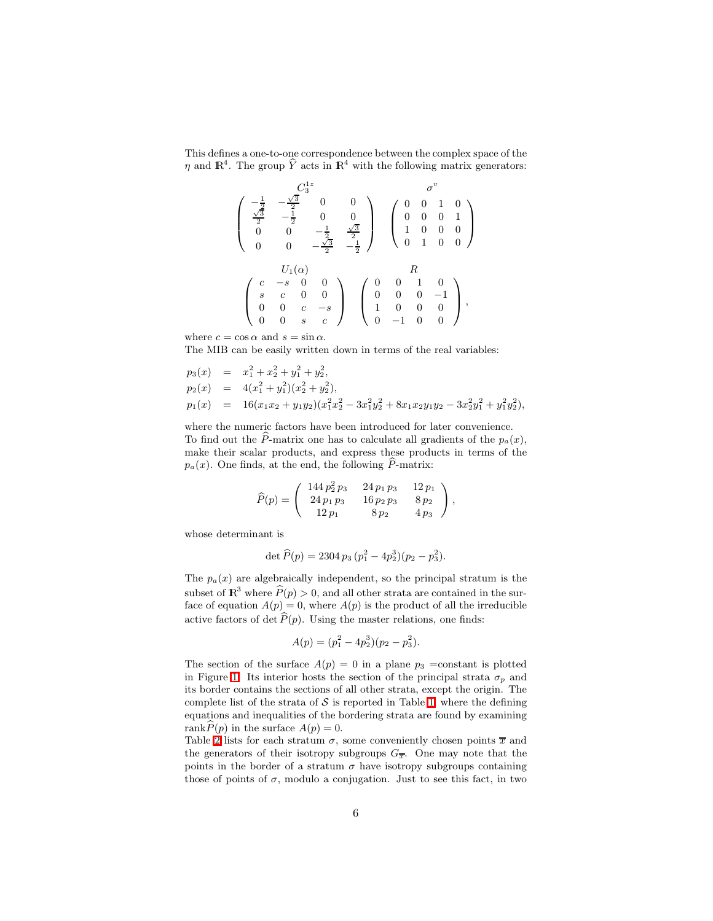This defines a one-to-one correspondence between the complex space of the  $\eta$  and  $\mathbb{R}^4$ . The group  $\hat{Y}$  acts in  $\mathbb{R}^4$  with the following matrix generators:

$$
\left(\begin{array}{cccc} C_3^{1z} & \sigma^v\\ \frac{\sqrt{3}}{2} & -\frac{\sqrt{3}}{2} & 0 & 0\\ 0 & 0 & -\frac{1}{2} & \frac{\sqrt{3}}{2}\\ 0 & 0 & -\frac{\sqrt{3}}{2} & -\frac{1}{2} \end{array}\right) \quad \left(\begin{array}{cccc} 0 & 0 & 1 & 0\\ 0 & 0 & 0 & 1\\ 1 & 0 & 0 & 0\\ 0 & 1 & 0 & 0 \end{array}\right)
$$

$$
\left(\begin{array}{cccc} c & -s & 0 & 0\\ s & c & 0 & 0\\ 0 & 0 & c & -s\\ 0 & 0 & s & c \end{array}\right) \quad \left(\begin{array}{cccc} 0 & 0 & 1 & 0\\ 0 & 0 & 1 & 0\\ 0 & 0 & 0 & -1\\ 1 & 0 & 0 & 0 \end{array}\right),
$$

where  $c = \cos \alpha$  and  $s = \sin \alpha$ .

The MIB can be easily written down in terms of the real variables:

$$
p_3(x) = x_1^2 + x_2^2 + y_1^2 + y_2^2,
$$
  
\n
$$
p_2(x) = 4(x_1^2 + y_1^2)(x_2^2 + y_2^2),
$$
  
\n
$$
p_1(x) = 16(x_1x_2 + y_1y_2)(x_1^2x_2^2 - 3x_1^2y_2^2 + 8x_1x_2y_1y_2 - 3x_2^2y_1^2 + y_1^2y_2^2),
$$

where the numeric factors have been introduced for later convenience. To find out the  $\hat{P}$ -matrix one has to calculate all gradients of the  $p_a(x)$ , make their scalar products, and express these products in terms of the  $p_a(x)$ . One finds, at the end, the following  $\hat{P}$ -matrix:

$$
\widehat{P}(p) = \left( \begin{array}{ccc} 144 \, p_2^2 \, p_3 & 24 \, p_1 \, p_3 & 12 \, p_1 \\ 24 \, p_1 \, p_3 & 16 \, p_2 \, p_3 & 8 \, p_2 \\ 12 \, p_1 & 8 \, p_2 & 4 \, p_3 \end{array} \right),
$$

whose determinant is

$$
\det \widehat{P}(p) = 2304 p_3 (p_1^2 - 4p_2^3)(p_2 - p_3^2).
$$

The  $p_a(x)$  are algebraically independent, so the principal stratum is the subset of  $\mathbb{R}^3$  where  $\widehat{P}(p) > 0$ , and all other strata are contained in the surface of equation  $A(p) = 0$ , where  $A(p)$  is the product of all the irreducible active factors of det  $\widehat{P}(p)$ . Using the master relations, one finds:

$$
A(p) = (p_1^2 - 4p_2^3)(p_2 - p_3^2).
$$

The section of the surface  $A(p) = 0$  in a plane  $p_3$  =constant is plotted in Figure [1.](#page-6-0) Its interior hosts the section of the principal strata  $\sigma_p$  and its border contains the sections of all other strata, except the origin. The complete list of the strata of  $S$  is reported in Table [1,](#page-6-1) where the defining equations and inequalities of the bordering strata are found by examining rank $P(p)$  in the surface  $A(p) = 0$ .

Table [2](#page-7-0) lists for each stratum  $\sigma$ , some conveniently chosen points  $\bar{x}$  and the generators of their isotropy subgroups  $G_{\overline{x}}$ . One may note that the points in the border of a stratum  $\sigma$  have isotropy subgroups containing those of points of  $\sigma$ , modulo a conjugation. Just to see this fact, in two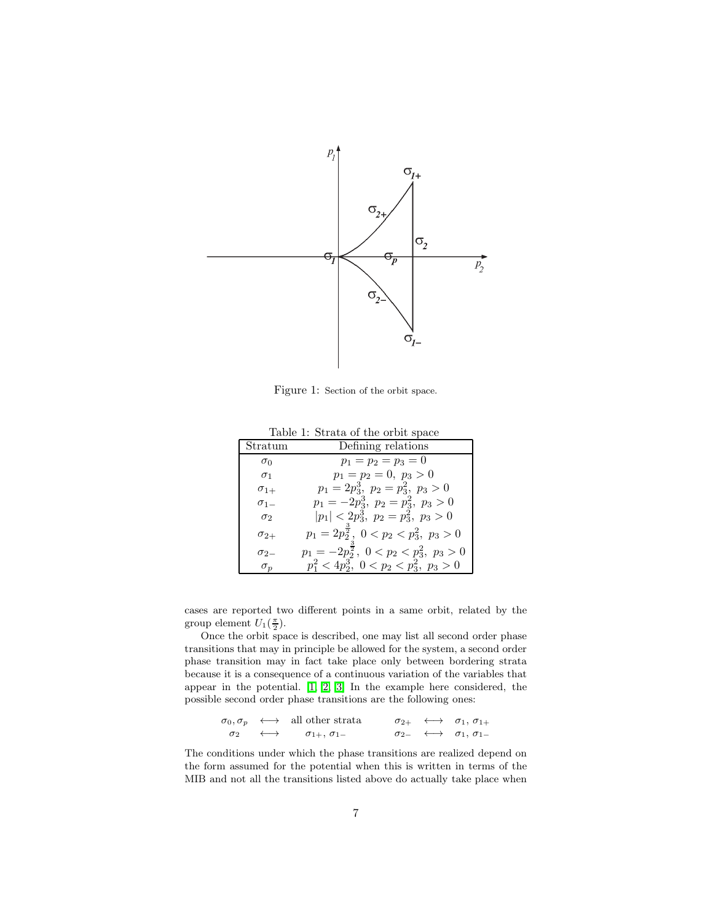

<span id="page-6-0"></span>Figure 1: Section of the orbit space.

Table 1: Strata of the orbit space

<span id="page-6-1"></span>

| Stratum       | Defining relations                                        |  |
|---------------|-----------------------------------------------------------|--|
| $\sigma_0$    | $p_1 = p_2 = p_3 = 0$                                     |  |
| $\sigma_1$    | $p_1 = p_2 = 0, p_3 > 0$                                  |  |
| $\sigma_{1+}$ | $p_1 = 2p_3^3$ , $p_2 = p_3^2$ , $p_3 > 0$                |  |
| $\sigma_{1-}$ | $p_1 = -2p_3^3$ , $p_2 = p_3^2$ , $p_3 > 0$               |  |
| $\sigma_2$    | $ p_1  < 2p_3^3$ , $p_2 = p_3^2$ , $p_3 > 0$              |  |
| $\sigma_{2+}$ | $p_1 = 2p_2^{\frac{1}{2}}, \ 0 < p_2 < p_3^2, \ p_3 > 0$  |  |
| $\sigma_{2}$  | $p_1 = -2p_2^{\frac{3}{2}}, \ 0 < p_2 < p_3^2, \ p_3 > 0$ |  |
| $\sigma_p$    | $p_1^2 < 4p_2^3$ , $0 < p_2 < p_3^2$ , $p_3 > 0$          |  |

cases are reported two different points in a same orbit, related by the group element  $U_1(\frac{\pi}{2})$ .

Once the orbit space is described, one may list all second order phase transitions that may in principle be allowed for the system, a second order phase transition may in fact take place only between bordering strata because it is a consequence of a continuous variation of the variables that appear in the potential. [\[1,](#page-8-0) [2,](#page-8-1) [3\]](#page-8-2) In the example here considered, the possible second order phase transitions are the following ones:

$$
\begin{array}{cccc}\n\sigma_0, \sigma_p & \longleftrightarrow & \text{all other strata} & \sigma_{2+} & \longleftrightarrow & \sigma_1, \sigma_{1+} \\
\sigma_2 & \longleftrightarrow & \sigma_{1+}, \sigma_{1-} & \sigma_{2-} & \longleftrightarrow & \sigma_1, \sigma_{1-}\n\end{array}
$$

The conditions under which the phase transitions are realized depend on the form assumed for the potential when this is written in terms of the MIB and not all the transitions listed above do actually take place when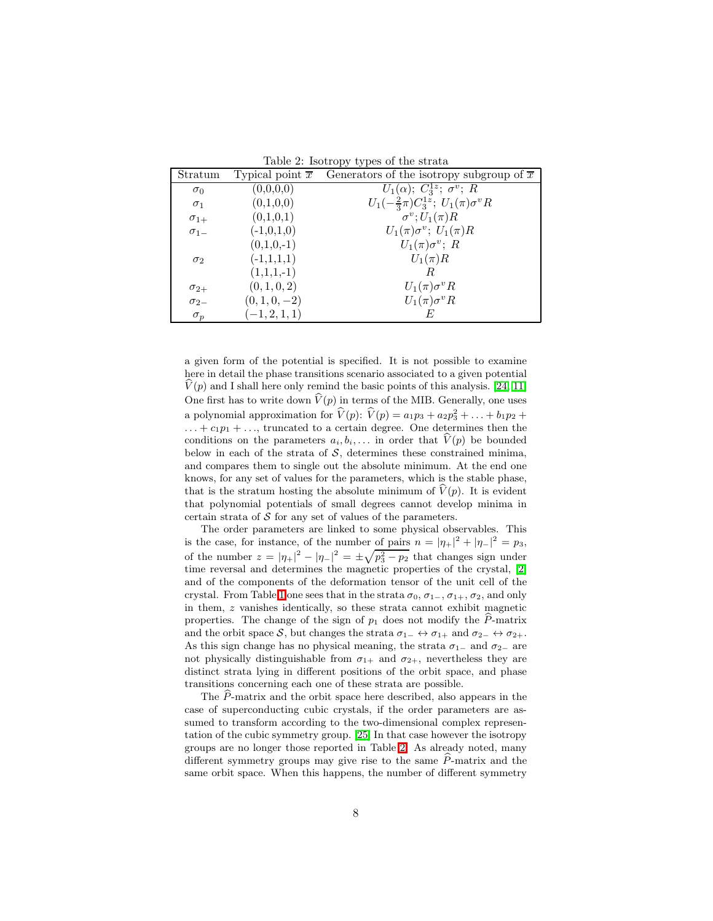<span id="page-7-0"></span>Table 2: Isotropy types of the strata

| Stratum       | Typical point $\overline{x}$ | Generators of the isotropy subgroup of $\overline{x}$ |
|---------------|------------------------------|-------------------------------------------------------|
| $\sigma_0$    | (0,0,0,0)                    | $U_1(\alpha)$ ; $C_3^{1z}$ ; $\sigma^v$ ; R           |
| $\sigma_1$    | (0,1,0,0)                    | $U_1(-\frac{2}{3}\pi)C_3^{1z}$ ; $U_1(\pi)\sigma^vR$  |
| $\sigma_{1+}$ | (0,1,0,1)                    | $\sigma^v$ ; $U_1(\pi)R$                              |
| $\sigma_{1-}$ | $(-1,0,1,0)$                 | $U_1(\pi)\sigma^v$ ; $U_1(\pi)R$                      |
|               | $(0,1,0,-1)$                 | $U_1(\pi)\sigma^v$ ; R                                |
| $\sigma_2$    | $(-1,1,1,1)$                 | $U_1(\pi)R$                                           |
|               | $(1,1,1,-1)$                 | R                                                     |
| $\sigma_{2+}$ | (0, 1, 0, 2)                 | $U_1(\pi)\sigma^v R$                                  |
| $\sigma_{2-}$ | $(0, 1, 0, -2)$              | $U_1(\pi)\sigma^v R$                                  |
| $\sigma_p$    | $(-1, 2, 1, 1)$              | E                                                     |

a given form of the potential is specified. It is not possible to examine here in detail the phase transitions scenario associated to a given potential  $V(p)$  and I shall here only remind the basic points of this analysis. [\[24,](#page-8-23) [11\]](#page-8-10) One first has to write down  $\widehat{V}(p)$  in terms of the MIB. Generally, one uses a polynomial approximation for  $\hat{V}(p)$ :  $\hat{V}(p) = a_1p_3 + a_2p_3 + ... + b_1p_2 +$  $\dots + c_1p_1 + \dots$ , truncated to a certain degree. One determines then the conditions on the parameters  $a_i, b_i, \ldots$  in order that  $\hat{V}(p)$  be bounded below in each of the strata of  $S$ , determines these constrained minima, and compares them to single out the absolute minimum. At the end one knows, for any set of values for the parameters, which is the stable phase, that is the stratum hosting the absolute minimum of  $\hat{V}(p)$ . It is evident that polynomial potentials of small degrees cannot develop minima in certain strata of  $S$  for any set of values of the parameters.

The order parameters are linked to some physical observables. This is the case, for instance, of the number of pairs  $n = |\eta_+|^2 + |\eta_-|^2 = p_3$ , of the number  $z = |\eta_+|^2 - |\eta_-|^2 = \pm \sqrt{p_3^2 - p_2}$  that changes sign under time reversal and determines the magnetic properties of the crystal, [\[2\]](#page-8-1) and of the components of the deformation tensor of the unit cell of the crystal. From Table [1](#page-6-1) one sees that in the strata  $\sigma_0$ ,  $\sigma_{1-}$ ,  $\sigma_{1+}$ ,  $\sigma_2$ , and only in them, z vanishes identically, so these strata cannot exhibit magnetic properties. The change of the sign of  $p_1$  does not modify the  $\widehat{P}$ -matrix and the orbit space S, but changes the strata  $\sigma_{1-} \leftrightarrow \sigma_{1+}$  and  $\sigma_{2-} \leftrightarrow \sigma_{2+}$ . As this sign change has no physical meaning, the strata  $\sigma_{1-}$  and  $\sigma_{2-}$  are not physically distinguishable from  $\sigma_{1+}$  and  $\sigma_{2+}$ , nevertheless they are distinct strata lying in different positions of the orbit space, and phase transitions concerning each one of these strata are possible.

The  $\hat{P}$ -matrix and the orbit space here described, also appears in the case of superconducting cubic crystals, if the order parameters are assumed to transform according to the two-dimensional complex representation of the cubic symmetry group. [\[25\]](#page-8-24) In that case however the isotropy groups are no longer those reported in Table [2.](#page-7-0) As already noted, many different symmetry groups may give rise to the same  $\hat{P}$ -matrix and the same orbit space. When this happens, the number of different symmetry